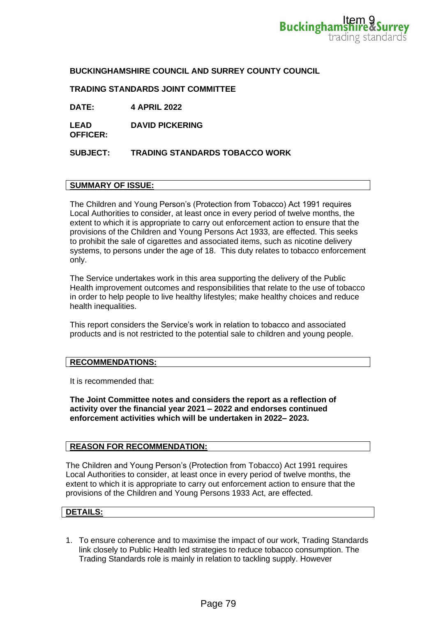## **BUCKINGHAMSHIRE COUNCIL AND SURREY COUNTY COUNCIL**

## **TRADING STANDARDS JOINT COMMITTEE**

**DATE: 4 APRIL 2022**

**LEAD DAVID PICKERING**

**SUBJECT: TRADING STANDARDS TOBACCO WORK**

### **SUMMARY OF ISSUE:**

**OFFICER:**

The Children and Young Person's (Protection from Tobacco) Act 1991 requires Local Authorities to consider, at least once in every period of twelve months, the extent to which it is appropriate to carry out enforcement action to ensure that the provisions of the Children and Young Persons Act 1933, are effected. This seeks to prohibit the sale of cigarettes and associated items, such as nicotine delivery systems, to persons under the age of 18. This duty relates to tobacco enforcement only. **Bucking ham tighting**<br>trading state<br>trading state<br>trading state<br>processor and the conservation of the conservation<br>of the conservation for the conservation of the persons Act 1933, are effected. This seeks<br>associated tiem

The Service undertakes work in this area supporting the delivery of the Public Health improvement outcomes and responsibilities that relate to the use of tobacco in order to help people to live healthy lifestyles; make healthy choices and reduce health inequalities.

This report considers the Service's work in relation to tobacco and associated products and is not restricted to the potential sale to children and young people.

#### **RECOMMENDATIONS:**

It is recommended that:

**The Joint Committee notes and considers the report as a reflection of activity over the financial year 2021 – 2022 and endorses continued enforcement activities which will be undertaken in 2022– 2023.** 

#### **REASON FOR RECOMMENDATION:**

The Children and Young Person's (Protection from Tobacco) Act 1991 requires Local Authorities to consider, at least once in every period of twelve months, the extent to which it is appropriate to carry out enforcement action to ensure that the provisions of the Children and Young Persons 1933 Act, are effected.

### **DETAILS:**

1. To ensure coherence and to maximise the impact of our work, Trading Standards link closely to Public Health led strategies to reduce tobacco consumption. The Trading Standards role is mainly in relation to tackling supply. However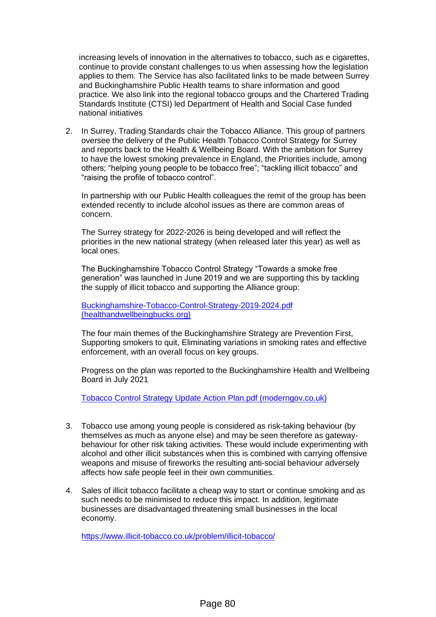increasing levels of innovation in the alternatives to tobacco, such as e cigarettes, continue to provide constant challenges to us when assessing how the legislation applies to them. The Service has also facilitated links to be made between Surrey and Buckinghamshire Public Health teams to share information and good practice. We also link into the regional tobacco groups and the Chartered Trading Standards Institute (CTSI) led Department of Health and Social Case funded national initiatives

2. In Surrey, Trading Standards chair the Tobacco Alliance. This group of partners oversee the delivery of the Public Health Tobacco Control Strategy for Surrey and reports back to the Health & Wellbeing Board. With the ambition for Surrey to have the lowest smoking prevalence in England, the Priorities include, among others; "helping young people to be tobacco free"; "tackling illicit tobacco" and "raising the profile of tobacco control".

In partnership with our Public Health colleagues the remit of the group has been extended recently to include alcohol issues as there are common areas of concern.

The Surrey strategy for 2022-2026 is being developed and will reflect the priorities in the new national strategy (when released later this year) as well as local ones.

The Buckinghamshire Tobacco Control Strategy "Towards a smoke free generation" was launched in June 2019 and we are supporting this by tackling the supply of illicit tobacco and supporting the Alliance group:

[Buckinghamshire-Tobacco-Control-Strategy-2019-2024.pdf](https://www.healthandwellbeingbucks.org/resources/Councils/bucks-public-health/pdf/Buckinghamshire-Tobacco-Control-Strategy-2019-2024.pdf)  [\(healthandwellbeingbucks.org\)](https://www.healthandwellbeingbucks.org/resources/Councils/bucks-public-health/pdf/Buckinghamshire-Tobacco-Control-Strategy-2019-2024.pdf)

The four main themes of the Buckinghamshire Strategy are Prevention First, Supporting smokers to quit, Eliminating variations in smoking rates and effective enforcement, with an overall focus on key groups.

Progress on the plan was reported to the Buckinghamshire Health and Wellbeing Board in July 2021

[Tobacco Control Strategy Update Action Plan.pdf \(moderngov.co.uk\)](https://buckinghamshire.moderngov.co.uk/documents/s29238/Tobacco%20Control%20Strategy%20Update%20Action%20Plan.pdf)

- 3. Tobacco use among young people is considered as risk-taking behaviour (by themselves as much as anyone else) and may be seen therefore as gatewaybehaviour for other risk taking activities. These would include experimenting with alcohol and other illicit substances when this is combined with carrying offensive weapons and misuse of fireworks the resulting anti-social behaviour adversely affects how safe people feel in their own communities.
- 4. Sales of illicit tobacco facilitate a cheap way to start or continue smoking and as such needs to be minimised to reduce this impact. In addition, legitimate businesses are disadvantaged threatening small businesses in the local economy.

<https://www.illicit-tobacco.co.uk/problem/illicit-tobacco/>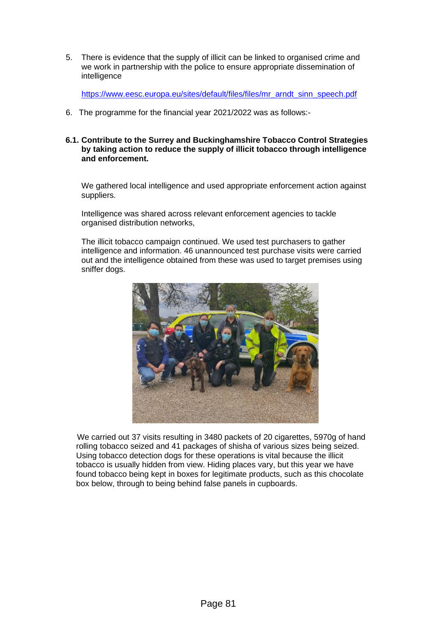5. There is evidence that the supply of illicit can be linked to organised crime and we work in partnership with the police to ensure appropriate dissemination of intelligence

[https://www.eesc.europa.eu/sites/default/files/files/mr\\_arndt\\_sinn\\_speech.pdf](https://www.eesc.europa.eu/sites/default/files/files/mr_arndt_sinn_speech.pdf)

- 6. The programme for the financial year 2021/2022 was as follows:-
- **6.1. Contribute to the Surrey and Buckinghamshire Tobacco Control Strategies by taking action to reduce the supply of illicit tobacco through intelligence and enforcement.**

We gathered local intelligence and used appropriate enforcement action against suppliers.

Intelligence was shared across relevant enforcement agencies to tackle organised distribution networks,

The illicit tobacco campaign continued. We used test purchasers to gather intelligence and information. 46 unannounced test purchase visits were carried out and the intelligence obtained from these was used to target premises using sniffer dogs.



 We carried out 37 visits resulting in 3480 packets of 20 cigarettes, 5970g of hand rolling tobacco seized and 41 packages of shisha of various sizes being seized. Using tobacco detection dogs for these operations is vital because the illicit tobacco is usually hidden from view. Hiding places vary, but this year we have found tobacco being kept in boxes for legitimate products, such as this chocolate box below, through to being behind false panels in cupboards.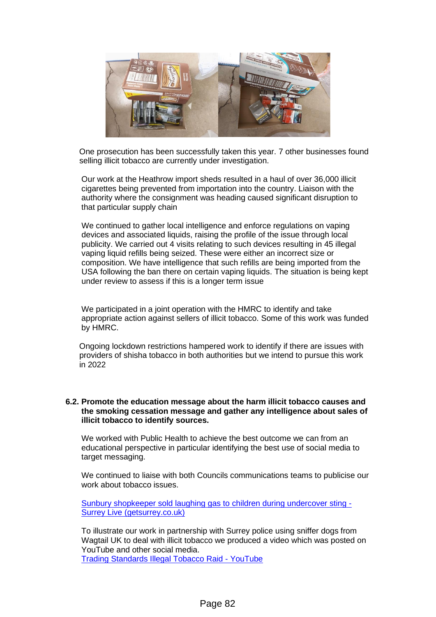

 One prosecution has been successfully taken this year. 7 other businesses found selling illicit tobacco are currently under investigation.

Our work at the Heathrow import sheds resulted in a haul of over 36,000 illicit cigarettes being prevented from importation into the country. Liaison with the authority where the consignment was heading caused significant disruption to that particular supply chain

 We continued to gather local intelligence and enforce regulations on vaping devices and associated liquids, raising the profile of the issue through local publicity. We carried out 4 visits relating to such devices resulting in 45 illegal vaping liquid refills being seized. These were either an incorrect size or composition. We have intelligence that such refills are being imported from the USA following the ban there on certain vaping liquids. The situation is being kept under review to assess if this is a longer term issue

We participated in a joint operation with the HMRC to identify and take appropriate action against sellers of illicit tobacco. Some of this work was funded by HMRC.

 Ongoing lockdown restrictions hampered work to identify if there are issues with providers of shisha tobacco in both authorities but we intend to pursue this work in 2022

#### **6.2. Promote the education message about the harm illicit tobacco causes and the smoking cessation message and gather any intelligence about sales of illicit tobacco to identify sources.**

We worked with Public Health to achieve the best outcome we can from an educational perspective in particular identifying the best use of social media to target messaging.

We continued to liaise with both Councils communications teams to publicise our work about tobacco issues.

[Sunbury shopkeeper sold laughing gas to children during undercover sting -](https://www.getsurrey.co.uk/news/surrey-news/sunbury-shopkeeper-sold-laughing-gas-22869789) [Surrey Live \(getsurrey.co.uk\)](https://www.getsurrey.co.uk/news/surrey-news/sunbury-shopkeeper-sold-laughing-gas-22869789)

To illustrate our work in partnership with Surrey police using sniffer dogs from Wagtail UK to deal with illicit tobacco we produced a video which was posted on YouTube and other social media. [Trading Standards Illegal Tobacco Raid -](https://www.youtube.com/watch?v=k9QFnl60ZCE) YouTube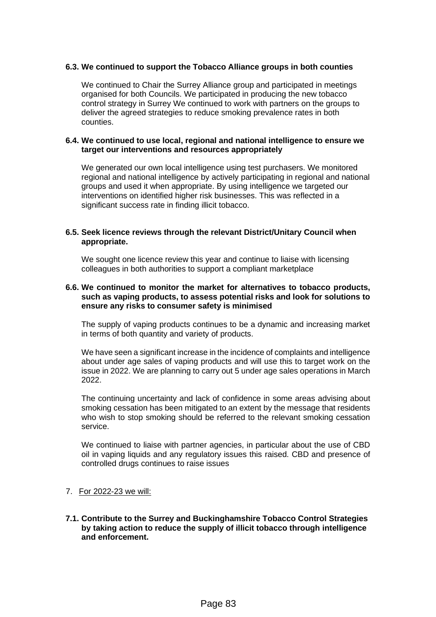## **6.3. We continued to support the Tobacco Alliance groups in both counties**

We continued to Chair the Surrey Alliance group and participated in meetings organised for both Councils. We participated in producing the new tobacco control strategy in Surrey We continued to work with partners on the groups to deliver the agreed strategies to reduce smoking prevalence rates in both counties.

#### **6.4. We continued to use local, regional and national intelligence to ensure we target our interventions and resources appropriately**

We generated our own local intelligence using test purchasers. We monitored regional and national intelligence by actively participating in regional and national groups and used it when appropriate. By using intelligence we targeted our interventions on identified higher risk businesses. This was reflected in a significant success rate in finding illicit tobacco.

#### **6.5. Seek licence reviews through the relevant District/Unitary Council when appropriate.**

We sought one licence review this year and continue to liaise with licensing colleagues in both authorities to support a compliant marketplace

### **6.6. We continued to monitor the market for alternatives to tobacco products, such as vaping products, to assess potential risks and look for solutions to ensure any risks to consumer safety is minimised**

The supply of vaping products continues to be a dynamic and increasing market in terms of both quantity and variety of products.

We have seen a significant increase in the incidence of complaints and intelligence about under age sales of vaping products and will use this to target work on the issue in 2022. We are planning to carry out 5 under age sales operations in March 2022.

The continuing uncertainty and lack of confidence in some areas advising about smoking cessation has been mitigated to an extent by the message that residents who wish to stop smoking should be referred to the relevant smoking cessation service.

We continued to liaise with partner agencies, in particular about the use of CBD oil in vaping liquids and any regulatory issues this raised. CBD and presence of controlled drugs continues to raise issues

- 7. For 2022-23 we will:
- **7.1. Contribute to the Surrey and Buckinghamshire Tobacco Control Strategies by taking action to reduce the supply of illicit tobacco through intelligence and enforcement.**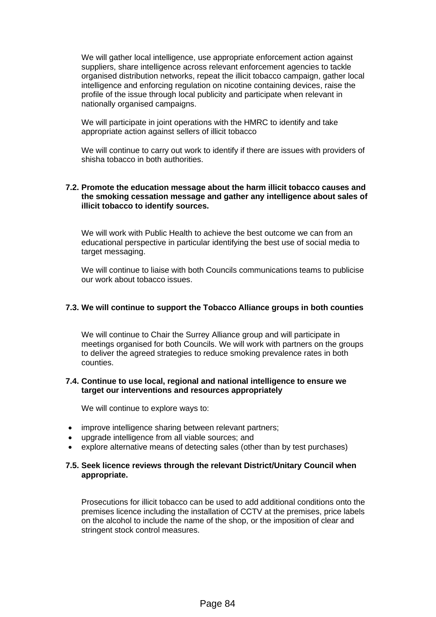We will gather local intelligence, use appropriate enforcement action against suppliers, share intelligence across relevant enforcement agencies to tackle organised distribution networks, repeat the illicit tobacco campaign, gather local intelligence and enforcing regulation on nicotine containing devices, raise the profile of the issue through local publicity and participate when relevant in nationally organised campaigns.

We will participate in joint operations with the HMRC to identify and take appropriate action against sellers of illicit tobacco

We will continue to carry out work to identify if there are issues with providers of shisha tobacco in both authorities.

## **7.2. Promote the education message about the harm illicit tobacco causes and the smoking cessation message and gather any intelligence about sales of illicit tobacco to identify sources.**

We will work with Public Health to achieve the best outcome we can from an educational perspective in particular identifying the best use of social media to target messaging.

We will continue to liaise with both Councils communications teams to publicise our work about tobacco issues.

## **7.3. We will continue to support the Tobacco Alliance groups in both counties**

We will continue to Chair the Surrey Alliance group and will participate in meetings organised for both Councils. We will work with partners on the groups to deliver the agreed strategies to reduce smoking prevalence rates in both counties.

## **7.4. Continue to use local, regional and national intelligence to ensure we target our interventions and resources appropriately**

We will continue to explore ways to:

- improve intelligence sharing between relevant partners;
- upgrade intelligence from all viable sources; and
- explore alternative means of detecting sales (other than by test purchases)

## **7.5. Seek licence reviews through the relevant District/Unitary Council when appropriate.**

Prosecutions for illicit tobacco can be used to add additional conditions onto the premises licence including the installation of CCTV at the premises, price labels on the alcohol to include the name of the shop, or the imposition of clear and stringent stock control measures.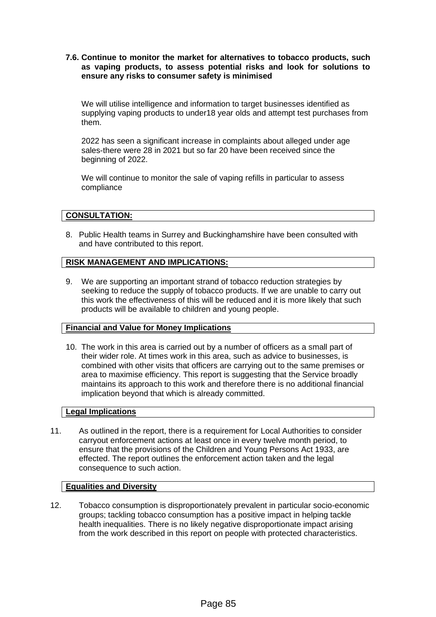**7.6. Continue to monitor the market for alternatives to tobacco products, such as vaping products, to assess potential risks and look for solutions to ensure any risks to consumer safety is minimised**

We will utilise intelligence and information to target businesses identified as supplying vaping products to under18 year olds and attempt test purchases from them.

2022 has seen a significant increase in complaints about alleged under age sales-there were 28 in 2021 but so far 20 have been received since the beginning of 2022.

We will continue to monitor the sale of vaping refills in particular to assess compliance

## **CONSULTATION:**

8. Public Health teams in Surrey and Buckinghamshire have been consulted with and have contributed to this report.

# **RISK MANAGEMENT AND IMPLICATIONS:**

9. We are supporting an important strand of tobacco reduction strategies by seeking to reduce the supply of tobacco products. If we are unable to carry out this work the effectiveness of this will be reduced and it is more likely that such products will be available to children and young people.

## **Financial and Value for Money Implications**

10. The work in this area is carried out by a number of officers as a small part of their wider role. At times work in this area, such as advice to businesses, is combined with other visits that officers are carrying out to the same premises or area to maximise efficiency. This report is suggesting that the Service broadly maintains its approach to this work and therefore there is no additional financial implication beyond that which is already committed.

## **Legal Implications**

11. As outlined in the report, there is a requirement for Local Authorities to consider carryout enforcement actions at least once in every twelve month period, to ensure that the provisions of the Children and Young Persons Act 1933, are effected. The report outlines the enforcement action taken and the legal consequence to such action.

## **Equalities and Diversity**

12. Tobacco consumption is disproportionately prevalent in particular socio-economic groups; tackling tobacco consumption has a positive impact in helping tackle health inequalities. There is no likely negative disproportionate impact arising from the work described in this report on people with protected characteristics.